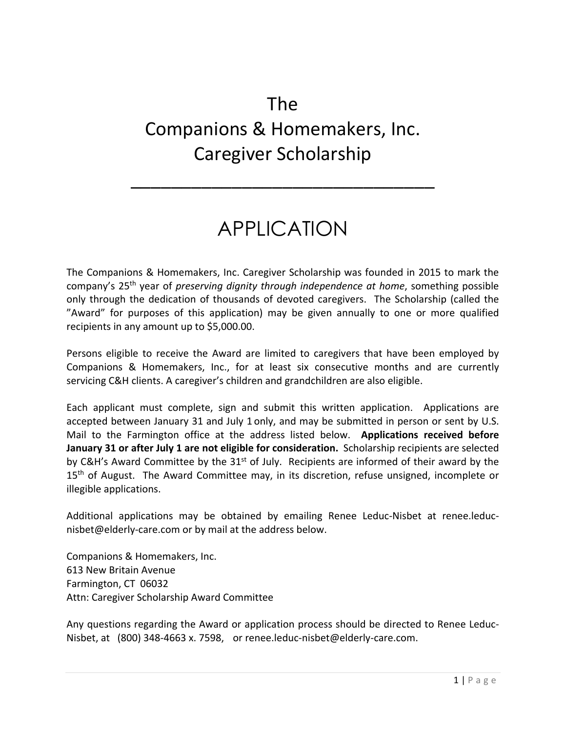## The Companions & Homemakers, Inc. Caregiver Scholarship

## APPLICATION

\_\_\_\_\_\_\_\_\_\_\_\_\_\_\_\_\_\_\_\_\_\_\_\_\_\_\_\_\_\_

The Companions & Homemakers, Inc. Caregiver Scholarship was founded in 2015 to mark the company's 25th year of *preserving dignity through independence at home*, something possible only through the dedication of thousands of devoted caregivers. The Scholarship (called the "Award" for purposes of this application) may be given annually to one or more qualified recipients in any amount up to \$5,000.00.

Persons eligible to receive the Award are limited to caregivers that have been employed by Companions & Homemakers, Inc., for at least six consecutive months and are currently servicing C&H clients. A caregiver's children and grandchildren are also eligible.

Each applicant must complete, sign and submit this written application. Applications are accepted between January 31 and July 1 only, and may be submitted in person or sent by U.S. Mail to the Farmington office at the address listed below. **Applications received before January 31 or after July 1 are not eligible for consideration.** Scholarship recipients are selected by C&H's Award Committee by the  $31<sup>st</sup>$  of July. Recipients are informed of their award by the 15<sup>th</sup> of August. The Award Committee may, in its discretion, refuse unsigned, incomplete or illegible applications.

Additional applications may be obtained by emailing Renee Leduc-Nisbet at renee.leducnisbet@elderly‐care.com or by mail at the address below.

Companions & Homemakers, Inc. 613 New Britain Avenue Farmington, CT 06032 Attn: Caregiver Scholarship Award Committee

Any questions regarding the Award or application process should be directed to Renee Leduc‐ Nisbet, at (800) 348‐4663 x. 7598, or renee.leduc‐nisbet@elderly‐care.com.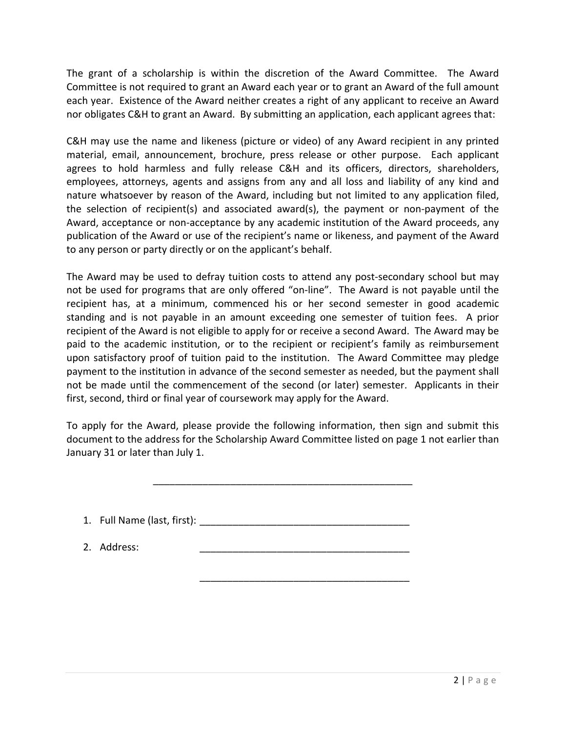The grant of a scholarship is within the discretion of the Award Committee. The Award Committee is not required to grant an Award each year or to grant an Award of the full amount each year. Existence of the Award neither creates a right of any applicant to receive an Award nor obligates C&H to grant an Award. By submitting an application, each applicant agrees that:

C&H may use the name and likeness (picture or video) of any Award recipient in any printed material, email, announcement, brochure, press release or other purpose. Each applicant agrees to hold harmless and fully release C&H and its officers, directors, shareholders, employees, attorneys, agents and assigns from any and all loss and liability of any kind and nature whatsoever by reason of the Award, including but not limited to any application filed, the selection of recipient(s) and associated award(s), the payment or non‐payment of the Award, acceptance or non‐acceptance by any academic institution of the Award proceeds, any publication of the Award or use of the recipient's name or likeness, and payment of the Award to any person or party directly or on the applicant's behalf.

The Award may be used to defray tuition costs to attend any post‐secondary school but may not be used for programs that are only offered "on‐line". The Award is not payable until the recipient has, at a minimum, commenced his or her second semester in good academic standing and is not payable in an amount exceeding one semester of tuition fees. A prior recipient of the Award is not eligible to apply for or receive a second Award. The Award may be paid to the academic institution, or to the recipient or recipient's family as reimbursement upon satisfactory proof of tuition paid to the institution. The Award Committee may pledge payment to the institution in advance of the second semester as needed, but the payment shall not be made until the commencement of the second (or later) semester. Applicants in their first, second, third or final year of coursework may apply for the Award.

To apply for the Award, please provide the following information, then sign and submit this document to the address for the Scholarship Award Committee listed on page 1 not earlier than January 31 or later than July 1.

\_\_\_\_\_\_\_\_\_\_\_\_\_\_\_\_\_\_\_\_\_\_\_\_\_\_\_\_\_\_\_\_\_\_\_\_\_\_\_\_\_\_\_\_\_\_\_

1. Full Name (last, first): **Example 2.1** 

\_\_\_\_\_\_\_\_\_\_\_\_\_\_\_\_\_\_\_\_\_\_\_\_\_\_\_\_\_\_\_\_\_\_\_\_\_\_

2. Address: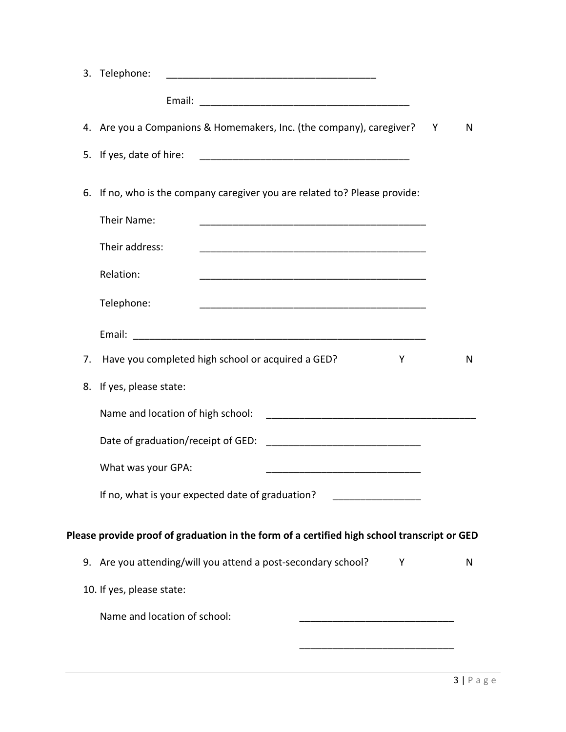|    | 3. Telephone:                                                                               |   |   |
|----|---------------------------------------------------------------------------------------------|---|---|
|    | Email:                                                                                      |   |   |
|    | 4. Are you a Companions & Homemakers, Inc. (the company), caregiver?                        | Y | N |
| 5. | If yes, date of hire:                                                                       |   |   |
| 6. | If no, who is the company caregiver you are related to? Please provide:                     |   |   |
|    | Their Name:                                                                                 |   |   |
|    | Their address:                                                                              |   |   |
|    | Relation:                                                                                   |   |   |
|    | Telephone:                                                                                  |   |   |
|    |                                                                                             |   |   |
| 7. | Have you completed high school or acquired a GED?<br>Y                                      |   | N |
| 8. | If yes, please state:                                                                       |   |   |
|    | Name and location of high school:                                                           |   |   |
|    | Date of graduation/receipt of GED:                                                          |   |   |
|    | What was your GPA:                                                                          |   |   |
|    | If no, what is your expected date of graduation?                                            |   |   |
|    |                                                                                             |   |   |
|    | Please provide proof of graduation in the form of a certified high school transcript or GED |   |   |
|    | 9. Are you attending/will you attend a post-secondary school?<br>Υ                          |   | N |
|    | 10. If yes, please state:                                                                   |   |   |
|    | Name and location of school:                                                                |   |   |
|    |                                                                                             |   |   |
|    |                                                                                             |   |   |